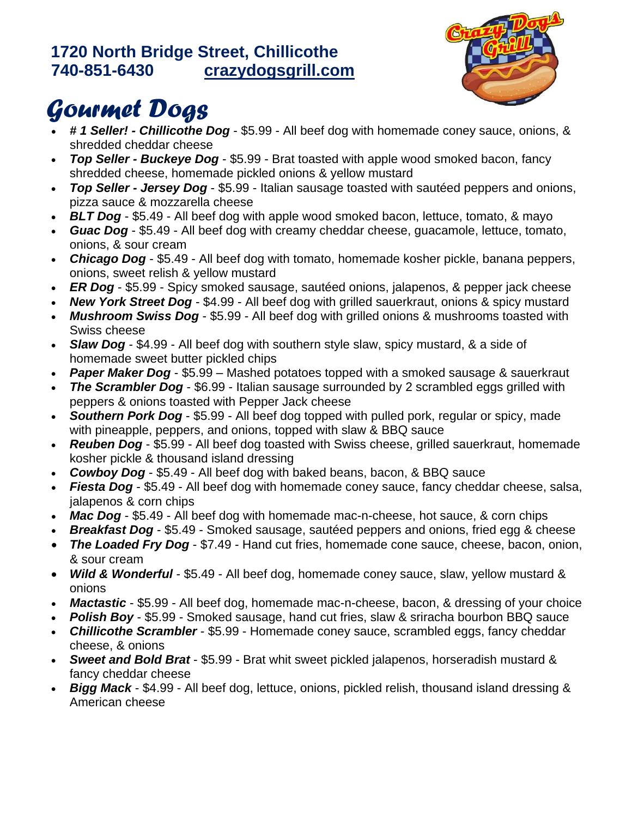#### **1720 North Bridge Street, Chillicothe 740-851-6430 [crazydogsgrill.com](file:///C:/Users/carter.1094/Box%20Sync/Documents/SBDC%20Clients/2018/CrazyDogs/crazydogsgrill.com)**



# *Gourmet Dogs*

- *# 1 Seller! - Chillicothe Dog* \$5.99 All beef dog with homemade coney sauce, onions, & shredded cheddar cheese
- *Top Seller - Buckeye Dog* \$5.99 Brat toasted with apple wood smoked bacon, fancy shredded cheese, homemade pickled onions & yellow mustard
- *Top Seller - Jersey Dog* \$5.99 Italian sausage toasted with sautéed peppers and onions, pizza sauce & mozzarella cheese
- **BLT Dog** \$5.49 All beef dog with apple wood smoked bacon, lettuce, tomato, & mayo
- *Guac Dog*  \$5.49 All beef dog with creamy cheddar cheese, guacamole, lettuce, tomato, onions, & sour cream
- *Chicago Dog* \$5.49 All beef dog with tomato, homemade kosher pickle, banana peppers, onions, sweet relish & yellow mustard
- *ER Dog* \$5.99 Spicy smoked sausage, sautéed onions, jalapenos, & pepper jack cheese
- *New York Street Dog*  \$4.99 All beef dog with grilled sauerkraut, onions & spicy mustard
- *Mushroom Swiss Dog* \$5.99 All beef dog with grilled onions & mushrooms toasted with Swiss cheese
- **Slaw Dog** \$4.99 All beef dog with southern style slaw, spicy mustard, & a side of homemade sweet butter pickled chips
- **Paper Maker Dog** \$5.99 Mashed potatoes topped with a smoked sausage & sauerkraut
- **The Scrambler Dog** \$6.99 Italian sausage surrounded by 2 scrambled eggs grilled with peppers & onions toasted with Pepper Jack cheese
- **Southern Pork Dog \$5.99 All beef dog topped with pulled pork, regular or spicy, made** with pineapple, peppers, and onions, topped with slaw & BBQ sauce
- *Reuben Dog* \$5.99 All beef dog toasted with Swiss cheese, grilled sauerkraut, homemade kosher pickle & thousand island dressing
- *Cowboy Dog* \$5.49 All beef dog with baked beans, bacon, & BBQ sauce
- *Fiesta Dog* \$5.49 All beef dog with homemade coney sauce, fancy cheddar cheese, salsa, jalapenos & corn chips
- *Mac Dog* \$5.49 All beef dog with homemade mac-n-cheese, hot sauce, & corn chips
- *Breakfast Dog* \$5.49 Smoked sausage, sautéed peppers and onions, fried egg & cheese
- *The Loaded Fry Dog*  \$7.49 Hand cut fries, homemade cone sauce, cheese, bacon, onion, & sour cream
- *Wild & Wonderful* \$5.49 All beef dog, homemade coney sauce, slaw, yellow mustard & onions
- **Mactastic** \$5.99 All beef dog, homemade mac-n-cheese, bacon, & dressing of your choice
- *Polish Boy* \$5.99 Smoked sausage, hand cut fries, slaw & sriracha bourbon BBQ sauce
- *Chillicothe Scrambler* \$5.99 Homemade coney sauce, scrambled eggs, fancy cheddar cheese, & onions
- *Sweet and Bold Brat* \$5.99 Brat whit sweet pickled jalapenos, horseradish mustard & fancy cheddar cheese
- **Bigg Mack** \$4.99 All beef dog, lettuce, onions, pickled relish, thousand island dressing & American cheese